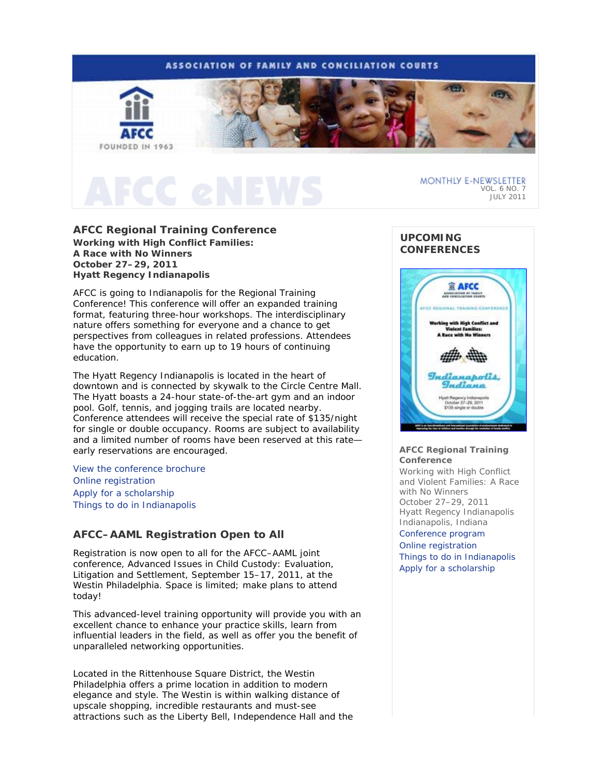# **ASSOCIATION OF FAMILY AND CONCILIATION COURTS**



# **AFCC Regional Training Conference**

*Working with High Conflict Families: A Race with No Winners* **October 27–29, 2011 Hyatt Regency Indianapolis** 

AFCC is going to Indianapolis for the Regional Training Conference! This conference will offer an expanded training format, featuring three-hour workshops. The interdisciplinary nature offers something for everyone and a chance to get perspectives from colleagues in related professions. Attendees have the opportunity to earn up to 19 hours of continuing education.

The Hyatt Regency Indianapolis is located in the heart of downtown and is connected by skywalk to the Circle Centre Mall. The Hyatt boasts a 24-hour state-of-the-art gym and an indoor pool. Golf, tennis, and jogging trails are located nearby. Conference attendees will receive the special rate of \$135/night for single or double occupancy. Rooms are subject to availability and a limited number of rooms have been reserved at this rate early reservations are encouraged.

View the conference brochure Online registration Apply for a scholarship Things to do in Indianapolis

# **AFCC–AAML Registration Open to All**

Registration is now open to all for the AFCC–AAML joint conference, *Advanced Issues in Child Custody: Evaluation, Litigation and Settlement*, September 15–17, 2011, at the Westin Philadelphia. Space is limited; make plans to attend today!

This advanced-level training opportunity will provide you with an excellent chance to enhance your practice skills, learn from influential leaders in the field, as well as offer you the benefit of unparalleled networking opportunities.

Located in the Rittenhouse Square District, the Westin Philadelphia offers a prime location in addition to modern elegance and style. The Westin is within walking distance of upscale shopping, incredible restaurants and must-see attractions such as the Liberty Bell, Independence Hall and the

# **UPCOMING CONFERENCES**



### **AFCC Regional Training Conference**

*Working with High Conflict and Violent Families: A Race with No Winners*  October 27–29, 2011 Hyatt Regency Indianapolis Indianapolis, Indiana Conference program Online registration Things to do in Indianapolis Apply for a scholarship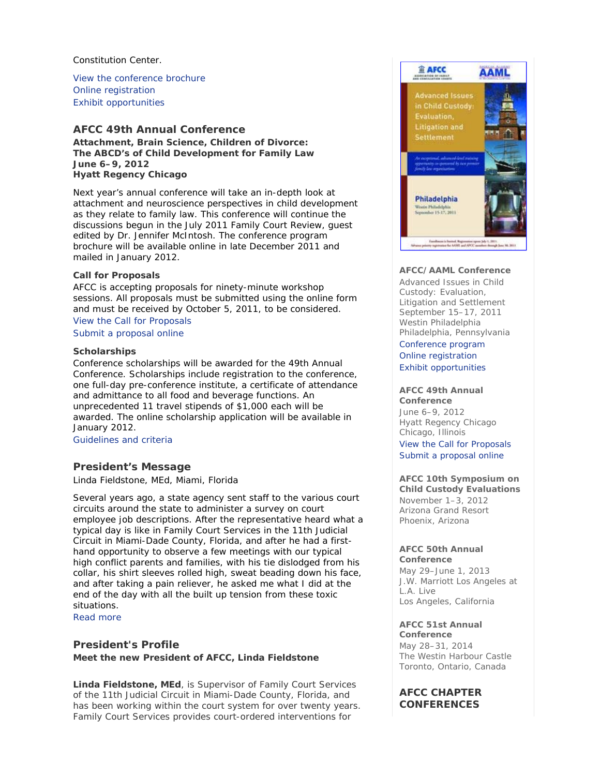Constitution Center.

View the conference brochure Online registration Exhibit opportunities

# **AFCC 49th Annual Conference**

*Attachment, Brain Science, Children of Divorce: The ABCD's of Child Development for Family Law* **June 6–9, 2012 Hyatt Regency Chicago** 

Next year's annual conference will take an in-depth look at attachment and neuroscience perspectives in child development as they relate to family law. This conference will continue the discussions begun in the July 2011 *Family Court Review*, guest edited by Dr. Jennifer McIntosh. The conference program brochure will be available online in late December 2011 and mailed in January 2012.

# **Call for Proposals**

AFCC is accepting proposals for ninety-minute workshop sessions. All proposals must be submitted using the online form and must be received by October 5, 2011, to be considered. View the Call for Proposals

Submit a proposal online

# **Scholarships**

Conference scholarships will be awarded for the 49th Annual Conference. Scholarships include registration to the conference, one full-day pre-conference institute, a certificate of attendance and admittance to all food and beverage functions. An unprecedented 11 travel stipends of \$1,000 each will be awarded. The online scholarship application will be available in January 2012.

Guidelines and criteria

# **President's Message**

*Linda Fieldstone, MEd, Miami, Florida*

Several years ago, a state agency sent staff to the various court circuits around the state to administer a survey on court employee job descriptions. After the representative heard what a typical day is like in Family Court Services in the 11th Judicial Circuit in Miami-Dade County, Florida, and after he had a firsthand opportunity to observe a few meetings with our typical high conflict parents and families, with his tie dislodged from his collar, his shirt sleeves rolled high, sweat beading down his face, and after taking a pain reliever, he asked me what I did at the end of the day with all the built up tension from these toxic situations.

Read more

# **President's Profile**

**Meet the new President of AFCC, Linda Fieldstone** 

**Linda Fieldstone, MEd**, is Supervisor of Family Court Services of the 11th Judicial Circuit in Miami-Dade County, Florida, and has been working within the court system for over twenty years. Family Court Services provides court-ordered interventions for



# **AFCC/AAML Conference**

*Advanced Issues in Child Custody: Evaluation, Litigation and Settlement* September 15–17, 2011 Westin Philadelphia Philadelphia, Pennsylvania

Conference program Online registration Exhibit opportunities

#### **AFCC 49th Annual Conference**

June 6–9, 2012 Hyatt Regency Chicago Chicago, Illinois View the Call for Proposals Submit a proposal online

# **AFCC 10th Symposium on**

**Child Custody Evaluations**  November 1–3, 2012 Arizona Grand Resort Phoenix, Arizona

### **AFCC 50th Annual Conference**

May 29–June 1, 2013 J.W. Marriott Los Angeles at L.A. Live Los Angeles, California

# **AFCC 51st Annual**

**Conference** May 28–31, 2014 The Westin Harbour Castle Toronto, Ontario, Canada

# **AFCC CHAPTER CONFERENCES**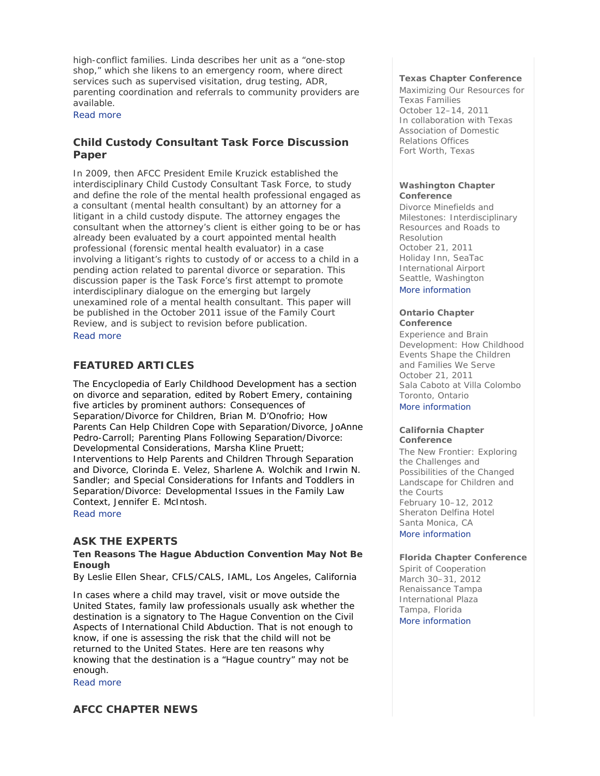high-conflict families. Linda describes her unit as a "one-stop shop," which she likens to an emergency room, where direct services such as supervised visitation, drug testing, ADR, parenting coordination and referrals to community providers are available.

Read more

# **Child Custody Consultant Task Force Discussion Paper**

In 2009, then AFCC President Emile Kruzick established the interdisciplinary Child Custody Consultant Task Force, to study and define the role of the mental health professional engaged as a consultant (mental health consultant) by an attorney for a litigant in a child custody dispute. The attorney engages the consultant when the attorney's client is either going to be or has already been evaluated by a court appointed mental health professional (forensic mental health evaluator) in a case involving a litigant's rights to custody of or access to a child in a pending action related to parental divorce or separation. This discussion paper is the Task Force's first attempt to promote interdisciplinary dialogue on the emerging but largely unexamined role of a mental health consultant. This paper will be published in the October 2011 issue of the *Family Court Review*, and is subject to revision before publication. Read more

# **FEATURED ARTICLES**

*The Encyclopedia of Early Childhood Development* has a section on divorce and separation, edited by Robert Emery, containing five articles by prominent authors: *Consequences of Separation/Divorce for Children*, Brian M. D'Onofrio; *How Parents Can Help Children Cope with Separation/Divorce*, JoAnne Pedro-Carroll; *Parenting Plans Following Separation/Divorce: Developmental Considerations*, Marsha Kline Pruett; *Interventions to Help Parents and Children Through Separation and Divorce*, Clorinda E. Velez, Sharlene A. Wolchik and Irwin N. Sandler; and *Special Considerations for Infants and Toddlers in Separation/Divorce: Developmental Issues in the Family Law Context*, Jennifer E. McIntosh.

Read more

# **ASK THE EXPERTS**

# **Ten Reasons The Hague Abduction Convention May Not Be Enough**

*By Leslie Ellen Shear, CFLS/CALS, IAML, Los Angeles, California*

In cases where a child may travel, visit or move outside the United States, family law professionals usually ask whether the destination is a signatory to The Hague Convention on the Civil Aspects of International Child Abduction. That is not enough to know, if one is assessing the risk that the child will not be returned to the United States. Here are ten reasons why knowing that the destination is a "Hague country" may not be enough.

Read more

# **AFCC CHAPTER NEWS**

### **Texas Chapter Conference**

*Maximizing Our Resources for Texas Families* October 12–14, 2011 In collaboration with Texas Association of Domestic Relations Offices Fort Worth, Texas

### **Washington Chapter Conference**

*Divorce Minefields and Milestones: Interdisciplinary Resources and Roads to Resolution* October 21, 2011 Holiday Inn, SeaTac International Airport Seattle, Washington

More information

### **Ontario Chapter Conference**

*Experience and Brain Development: How Childhood Events Shape the Children and Families We Serve*  October 21, 2011 Sala Caboto at Villa Colombo Toronto, Ontario More information

### **California Chapter Conference**

*The New Frontier: Exploring the Challenges and Possibilities of the Changed Landscape for Children and the Courts* February 10–12, 2012 Sheraton Delfina Hotel Santa Monica, CA More information

**Florida Chapter Conference** *Spirit of Cooperation* March 30–31, 2012 Renaissance Tampa International Plaza Tampa, Florida More information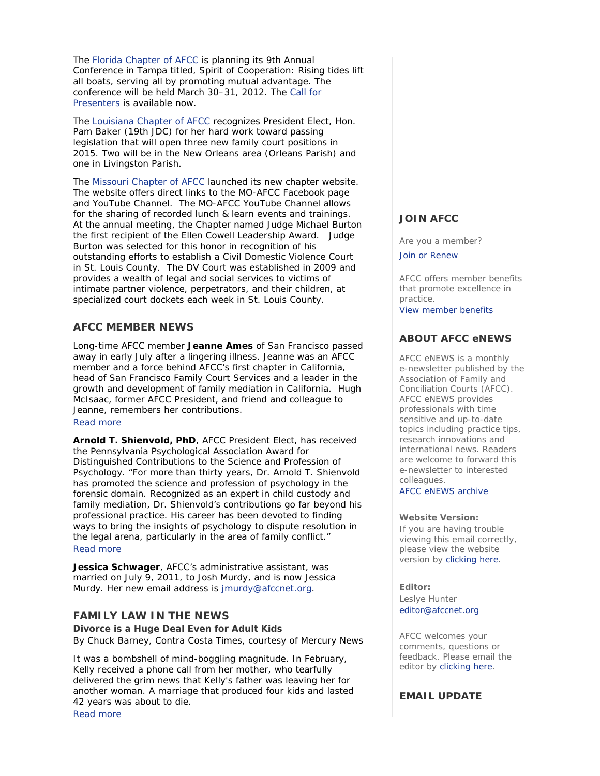The Florida Chapter of AFCC is planning its 9th Annual Conference in Tampa titled, *Spirit of Cooperation: Rising tides lift all boats, serving all by promoting mutual advantage*. The conference will be held March 30–31, 2012. The Call for Presenters is available now.

The Louisiana Chapter of AFCC recognizes President Elect, Hon. Pam Baker (19th JDC) for her hard work toward passing legislation that will open three new family court positions in 2015. Two will be in the New Orleans area (Orleans Parish) and one in Livingston Parish.

The Missouri Chapter of AFCC launched its new chapter website. The website offers direct links to the MO-AFCC Facebook page and YouTube Channel. The MO-AFCC YouTube Channel allows for the sharing of recorded lunch & learn events and trainings. At the annual meeting, the Chapter named Judge Michael Burton the first recipient of the Ellen Cowell Leadership Award. Judge Burton was selected for this honor in recognition of his outstanding efforts to establish a Civil Domestic Violence Court in St. Louis County. The DV Court was established in 2009 and provides a wealth of legal and social services to victims of intimate partner violence, perpetrators, and their children, at specialized court dockets each week in St. Louis County.

# **AFCC MEMBER NEWS**

Long-time AFCC member **Jeanne Ames** of San Francisco passed away in early July after a lingering illness. Jeanne was an AFCC member and a force behind AFCC's first chapter in California, head of San Francisco Family Court Services and a leader in the growth and development of family mediation in California. Hugh McIsaac, former AFCC President, and friend and colleague to Jeanne, remembers her contributions. Read more

**Arnold T. Shienvold, PhD**, AFCC President Elect, has received the Pennsylvania Psychological Association Award for Distinguished Contributions to the Science and Profession of Psychology. "For more than thirty years, Dr. Arnold T. Shienvold has promoted the science and profession of psychology in the forensic domain. Recognized as an expert in child custody and family mediation, Dr. Shienvold's contributions go far beyond his professional practice. His career has been devoted to finding ways to bring the insights of psychology to dispute resolution in the legal arena, particularly in the area of family conflict." Read more

**Jessica Schwager**, AFCC's administrative assistant, was married on July 9, 2011, to Josh Murdy, and is now Jessica Murdy. Her new email address is jmurdy@afccnet.org.

# **FAMILY LAW IN THE NEWS**

**Divorce is a Huge Deal Even for Adult Kids**  *By Chuck Barney, Contra Costa Times, courtesy of Mercury News*

It was a bombshell of mind-boggling magnitude. In February, Kelly received a phone call from her mother, who tearfully delivered the grim news that Kelly's father was leaving her for another woman. A marriage that produced four kids and lasted 42 years was about to die. Read more

**JOIN AFCC**

Are you a member?

Join or Renew

AFCC offers member benefits that promote excellence in practice. View member benefits

# **ABOUT AFCC eNEWS**

*AFCC eNEWS* is a monthly e-newsletter published by the Association of Family and Conciliation Courts (AFCC). *AFCC eNEWS* provides professionals with time sensitive and up-to-date topics including practice tips, research innovations and international news. Readers are welcome to forward this e-newsletter to interested colleagues.

AFCC eNEWS archive

# **Website Version:**

If you are having trouble viewing this email correctly, please view the website version by clicking here.

**Editor:** 

Leslye Hunter editor@afccnet.org

AFCC welcomes your comments, questions or feedback. Please email the editor by clicking here.

# **EMAIL UPDATE**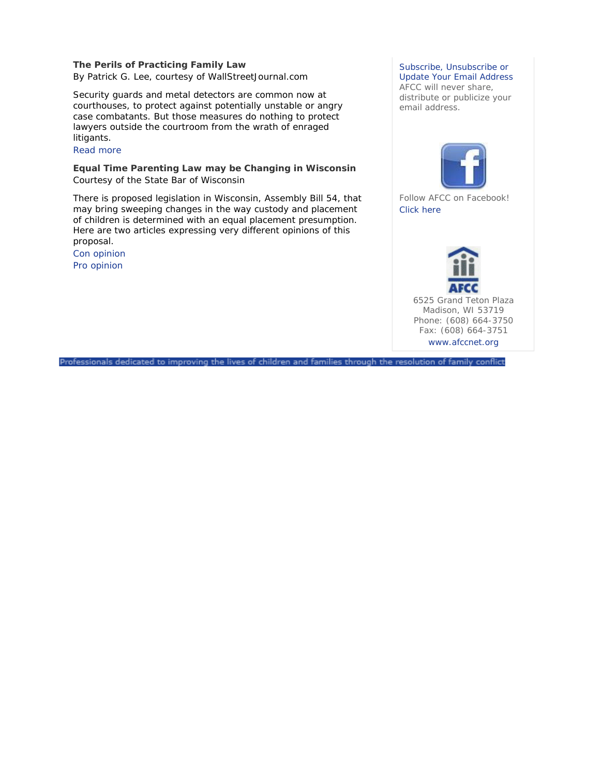# **The Perils of Practicing Family Law**

*By Patrick G. Lee, courtesy of WallStreetJournal.com*

Security guards and metal detectors are common now at courthouses, to protect against potentially unstable or angry case combatants. But those measures do nothing to protect lawyers outside the courtroom from the wrath of enraged litigants.

# Read more

# **Equal Time Parenting Law may be Changing in Wisconsin**  *Courtesy of the State Bar of Wisconsin*

There is proposed legislation in Wisconsin, Assembly Bill 54, that may bring sweeping changes in the way custody and placement of children is determined with an equal placement presumption. Here are two articles expressing very different opinions of this proposal.

Con opinion Pro opinion

# Subscribe, Unsubscribe or

Update Your Email Address AFCC will never share, distribute or publicize your email address.



Follow AFCC on Facebook! Click here



6525 Grand Teton Plaza Madison, WI 53719 Phone: (608) 664-3750 Fax: (608) 664-3751 www.afccnet.org

Professionals dedicated to improving the lives of children and families through the resolution of family conflict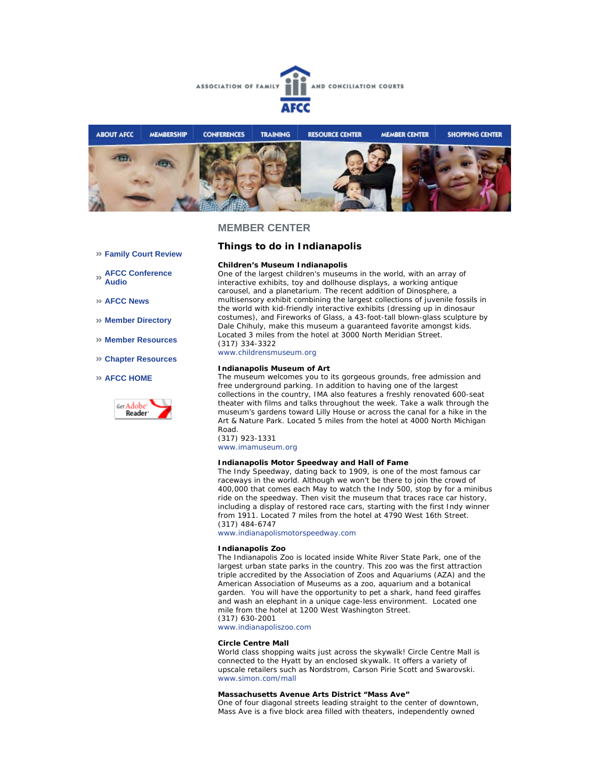



#### **Family Court Review**

**AFCC Conference Audio** 

- **AFCC News**
- **Member Directory**
- **Member Resources**
- **Chapter Resources**

#### **AFCC HOME**



# **Things to do in Indianapolis**

#### **Children's Museum Indianapolis**

One of the largest children's museums in the world, with an array of interactive exhibits, toy and dollhouse displays, a working antique carousel, and a planetarium. The recent addition of *Dinosphere*, a multisensory exhibit combining the largest collections of juvenile fossils in the world with kid-friendly interactive exhibits (dressing up in dinosaur costumes), and *Fireworks of Glass*, a 43-foot-tall blown-glass sculpture by Dale Chihuly, make this museum a guaranteed favorite amongst kids. Located 3 miles from the hotel at 3000 North Meridian Street. (317) 334-3322

www.childrensmuseum.org

#### **Indianapolis Museum of Art**

The museum welcomes you to its gorgeous grounds, free admission and free underground parking. In addition to having one of the largest collections in the country, IMA also features a freshly renovated 600-seat theater with films and talks throughout the week. Take a walk through the museum's gardens toward Lilly House or across the canal for a hike in the Art & Nature Park. Located 5 miles from the hotel at 4000 North Michigan Road.

(317) 923-1331

www.imamuseum.org

#### **Indianapolis Motor Speedway and Hall of Fame**

The Indy Speedway, dating back to 1909, is one of the most famous car raceways in the world. Although we won't be there to join the crowd of 400,000 that comes each May to watch the Indy 500, stop by for a minibus ride on the speedway. Then visit the museum that traces race car history, including a display of restored race cars, starting with the first Indy winner from 1911. Located 7 miles from the hotel at 4790 West 16th Street. (317) 484-6747

www.indianapolismotorspeedway.com

#### **Indianapolis Zoo**

The Indianapolis Zoo is located inside White River State Park, one of the largest urban state parks in the country. This zoo was the first attraction triple accredited by the Association of Zoos and Aquariums (AZA) and the American Association of Museums as a zoo, aquarium and a botanical garden. You will have the opportunity to pet a shark, hand feed giraffes and wash an elephant in a unique cage-less environment. Located one mile from the hotel at 1200 West Washington Street. (317) 630-2001

www.indianapoliszoo.com

#### **Circle Centre Mall**

World class shopping waits just across the skywalk! Circle Centre Mall is connected to the Hyatt by an enclosed skywalk. It offers a variety of upscale retailers such as Nordstrom, Carson Pirie Scott and Swarovski. www.simon.com/mall

### **Massachusetts Avenue Arts District "Mass Ave"**

One of four diagonal streets leading straight to the center of downtown, Mass Ave is a five block area filled with theaters, independently owned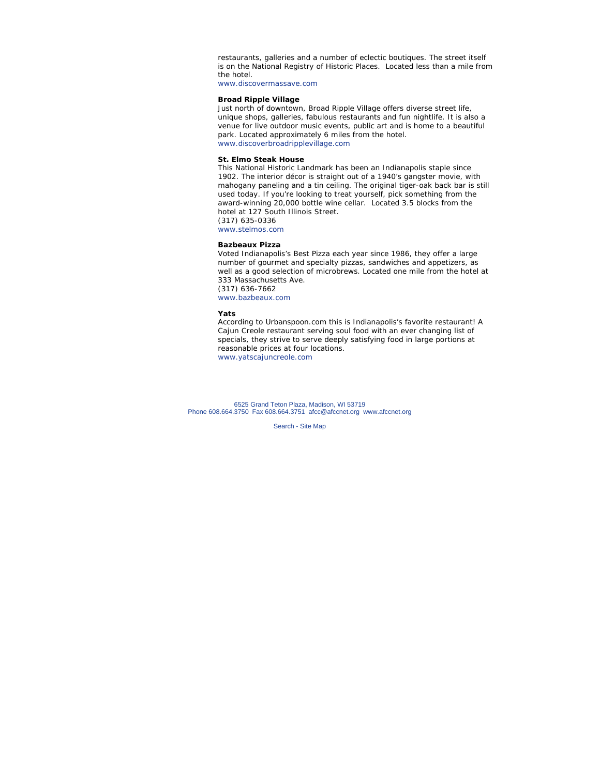restaurants, galleries and a number of eclectic boutiques. The street itself is on the National Registry of Historic Places. Located less than a mile from the hotel.

www.discovermassave.com

### **Broad Ripple Village**

Just north of downtown, Broad Ripple Village offers diverse street life, unique shops, galleries, fabulous restaurants and fun nightlife. It is also a venue for live outdoor music events, public art and is home to a beautiful park. Located approximately 6 miles from the hotel. www.discoverbroadripplevillage.com

#### **St. Elmo Steak House**

This National Historic Landmark has been an Indianapolis staple since 1902. The interior décor is straight out of a 1940's gangster movie, with mahogany paneling and a tin ceiling. The original tiger-oak back bar is still used today. If you're looking to treat yourself, pick something from the award-winning 20,000 bottle wine cellar. Located 3.5 blocks from the hotel at 127 South Illinois Street. (317) 635-0336 www.stelmos.com

#### **Bazbeaux Pizza**

Voted Indianapolis's Best Pizza each year since 1986, they offer a large number of gourmet and specialty pizzas, sandwiches and appetizers, as well as a good selection of microbrews. Located one mile from the hotel at 333 Massachusetts Ave. (317) 636-7662 www.bazbeaux.com

#### **Yats**

According to Urbanspoon.com this is Indianapolis's favorite restaurant! A Cajun Creole restaurant serving soul food with an ever changing list of specials, they strive to serve deeply satisfying food in large portions at reasonable prices at four locations. www.yatscajuncreole.com

6525 Grand Teton Plaza, Madison, WI 53719 Phone 608.664.3750 Fax 608.664.3751 afcc@afccnet.org www.afccnet.org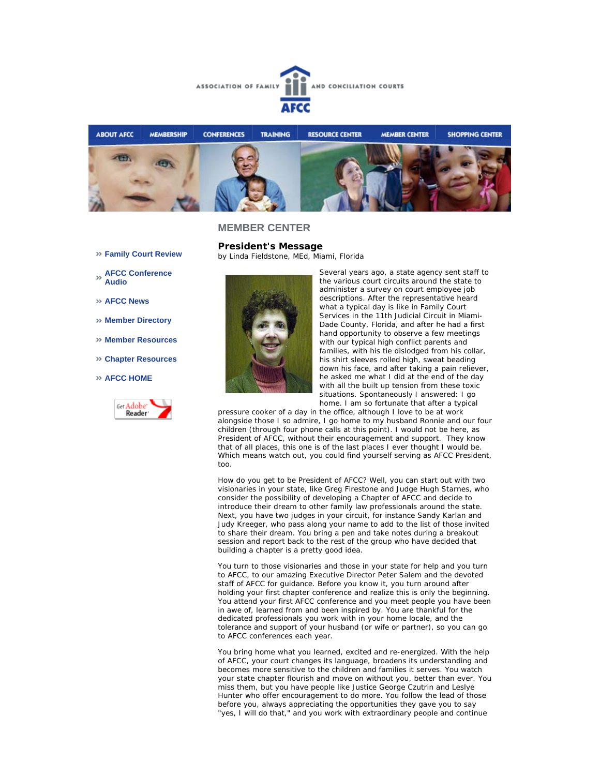



**President's Message**

*by Linda Fieldstone, MEd, Miami, Florida* 

- **Family Court Review**
- **AFCC Conference Audio**
- **AFCC News**
- **Member Directory**
- **Member Resources**
- **Chapter Resources**
- **AFCC HOME**





Several years ago, a state agency sent staff to the various court circuits around the state to administer a survey on court employee job descriptions. After the representative heard what a typical day is like in Family Court Services in the 11th Judicial Circuit in Miami-Dade County, Florida, and after he had a first hand opportunity to observe a few meetings with our typical high conflict parents and families, with his tie dislodged from his collar, his shirt sleeves rolled high, sweat beading down his face, and after taking a pain reliever, he asked me what I did at the end of the day with all the built up tension from these toxic situations. Spontaneously I answered: I go home. I am so fortunate that after a typical

pressure cooker of a day in the office, although I love to be at work alongside those I so admire, I go home to my husband Ronnie and our four children (through four phone calls at this point). I would not be here, as President of AFCC, without their encouragement and support. They know that of all places, this one is of the last places I ever thought I would be. Which means watch out, you could find yourself serving as AFCC President, too.

How do you get to be President of AFCC? Well, you can start out with two visionaries in your state, like Greg Firestone and Judge Hugh Starnes, who consider the possibility of developing a Chapter of AFCC and decide to introduce their dream to other family law professionals around the state. Next, you have two judges in your circuit, for instance Sandy Karlan and Judy Kreeger, who pass along your name to add to the list of those invited to share their dream. You bring a pen and take notes during a breakout session and report back to the rest of the group who have decided that building a chapter is a pretty good idea.

You turn to those visionaries and those in your state for help and you turn to AFCC, to our amazing Executive Director Peter Salem and the devoted staff of AFCC for guidance. Before you know it, you turn around after holding your first chapter conference and realize this is only the beginning. You attend your first AFCC conference and you meet people you have been in awe of, learned from and been inspired by. You are thankful for the dedicated professionals you work with in your home locale, and the tolerance and support of your husband (or wife or partner), so you can go to AFCC conferences each year.

You bring home what you learned, excited and re-energized. With the help of AFCC, your court changes its language, broadens its understanding and becomes more sensitive to the children and families it serves. You watch your state chapter flourish and move on without you, better than ever. You miss them, but you have people like Justice George Czutrin and Leslye Hunter who offer encouragement to do more. You follow the lead of those before you, always appreciating the opportunities they gave you to say "yes, I will do that," and you work with extraordinary people and continue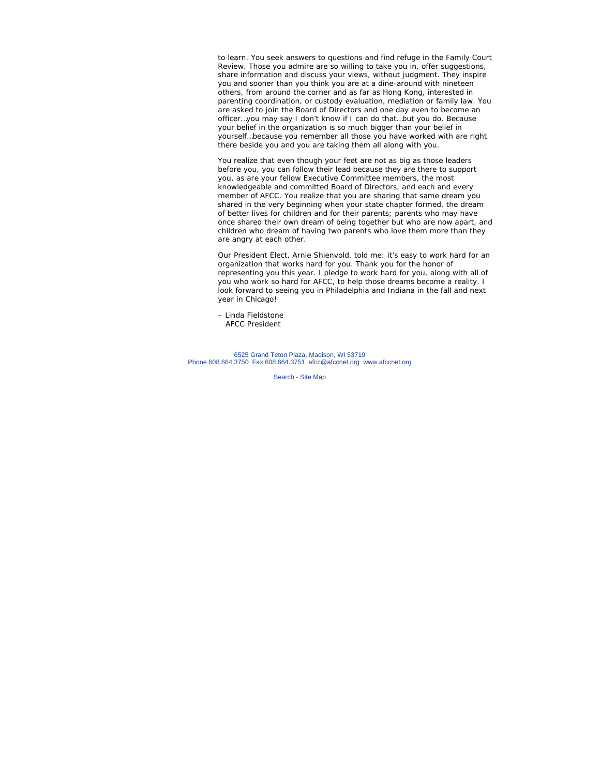to learn. You seek answers to questions and find refuge in the *Family Court Review*. Those you admire are so willing to take you in, offer suggestions, share information and discuss your views, without judgment. They inspire you and sooner than you think you are at a dine-around with nineteen others, from around the corner and as far as Hong Kong, interested in parenting coordination, or custody evaluation, mediation or family law. You are asked to join the Board of Directors and one day even to become an officer…you may say I don't know if I can do that…but you do. Because your belief in the organization is so much bigger than your belief in yourself…because you remember all those you have worked with are right there beside you and you are taking them all along with you.

You realize that even though your feet are not as big as those leaders before you, you can follow their lead because they are there to support you, as are your fellow Executive Committee members, the most knowledgeable and committed Board of Directors, and each and every member of AFCC. You realize that you are sharing that same dream you shared in the very beginning when your state chapter formed, the dream of better lives for children and for their parents; parents who may have once shared their own dream of being together but who are now apart, and children who dream of having two parents who love them more than they are angry at each other.

Our President Elect, Arnie Shienvold, told me: it's easy to work hard for an organization that works hard for you. Thank you for the honor of representing you this year. I pledge to work hard for you, along with all of you who work so hard for AFCC, to help those dreams become a reality. I look forward to seeing you in Philadelphia and Indiana in the fall and next year in Chicago!

– Linda Fieldstone AFCC President

6525 Grand Teton Plaza, Madison, WI 53719 Phone 608.664.3750 Fax 608.664.3751 afcc@afccnet.org www.afccnet.org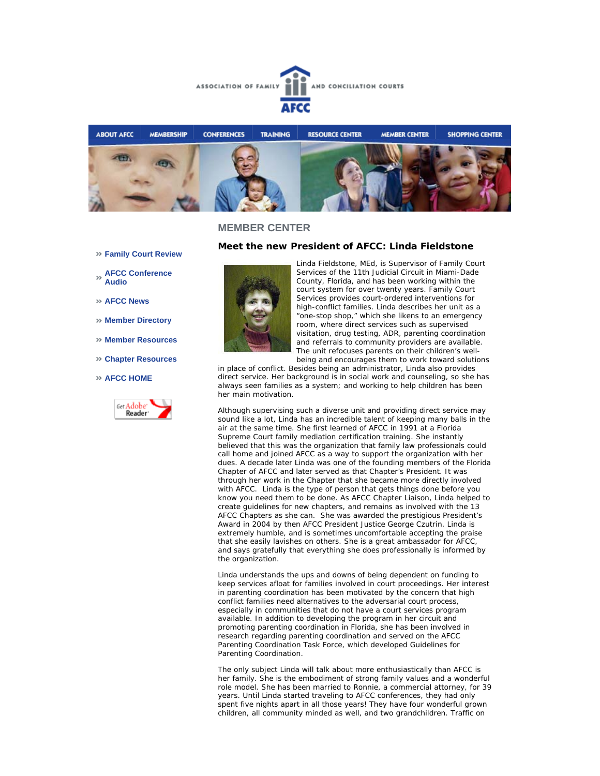



**Family Court Review** 

### **AFCC Conference Audio**

- **AFCC News**
- **Member Directory**
- **Member Resources**
- **Chapter Resources**

### **AFCC HOME**



### **Meet the new President of AFCC: Linda Fieldstone**



Linda Fieldstone, MEd, is Supervisor of Family Court Services of the 11th Judicial Circuit in Miami-Dade County, Florida, and has been working within the court system for over twenty years. Family Court Services provides court-ordered interventions for high-conflict families. Linda describes her unit as a "one-stop shop," which she likens to an emergency room, where direct services such as supervised visitation, drug testing, ADR, parenting coordination and referrals to community providers are available. The unit refocuses parents on their children's wellbeing and encourages them to work toward solutions

in place of conflict. Besides being an administrator, Linda also provides direct service. Her background is in social work and counseling, so she has always seen families as a system; and working to help children has been her main motivation.

Although supervising such a diverse unit and providing direct service may sound like a lot, Linda has an incredible talent of keeping many balls in the air at the same time. She first learned of AFCC in 1991 at a Florida Supreme Court family mediation certification training. She instantly believed that this was the organization that family law professionals could call home and joined AFCC as a way to support the organization with her dues. A decade later Linda was one of the founding members of the Florida Chapter of AFCC and later served as that Chapter's President. It was through her work in the Chapter that she became more directly involved with AFCC. Linda is the type of person that gets things done before you know you need them to be done. As AFCC Chapter Liaison, Linda helped to create guidelines for new chapters, and remains as involved with the 13 AFCC Chapters as she can. She was awarded the prestigious President's Award in 2004 by then AFCC President Justice George Czutrin. Linda is extremely humble, and is sometimes uncomfortable accepting the praise that she easily lavishes on others. She is a great ambassador for AFCC, and says gratefully that everything she does professionally is informed by the organization.

Linda understands the ups and downs of being dependent on funding to keep services afloat for families involved in court proceedings. Her interest in parenting coordination has been motivated by the concern that high conflict families need alternatives to the adversarial court process, especially in communities that do not have a court services program available. In addition to developing the program in her circuit and promoting parenting coordination in Florida, she has been involved in research regarding parenting coordination and served on the AFCC Parenting Coordination Task Force, which developed Guidelines for Parenting Coordination.

The only subject Linda will talk about more enthusiastically than AFCC is her family. She is the embodiment of strong family values and a wonderful role model. She has been married to Ronnie, a commercial attorney, for 39 years. Until Linda started traveling to AFCC conferences, they had only spent five nights apart in all those years! They have four wonderful grown children, all community minded as well, and two grandchildren. Traffic on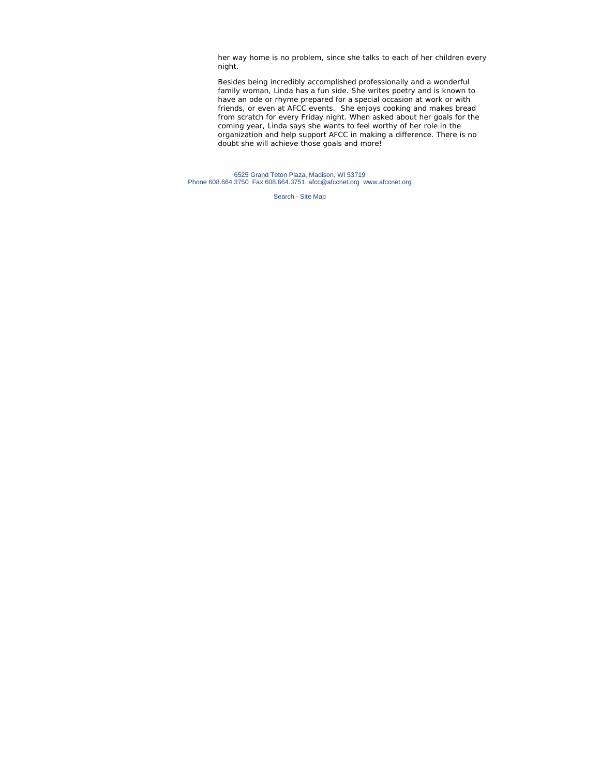her way home is no problem, since she talks to each of her children every night.

Besides being incredibly accomplished professionally and a wonderful family woman, Linda has a fun side. She writes poetry and is known to have an ode or rhyme prepared for a special occasion at work or with friends, or even at AFCC events. She enjoys cooking and makes bread from scratch for every Friday night. When asked about her goals for the coming year, Linda says she wants to feel worthy of her role in the organization and help support AFCC in making a difference. There is no doubt she will achieve those goals and more!

6525 Grand Teton Plaza, Madison, WI 53719 Phone 608.664.3750 Fax 608.664.3751 afcc@afccnet.org www.afccnet.org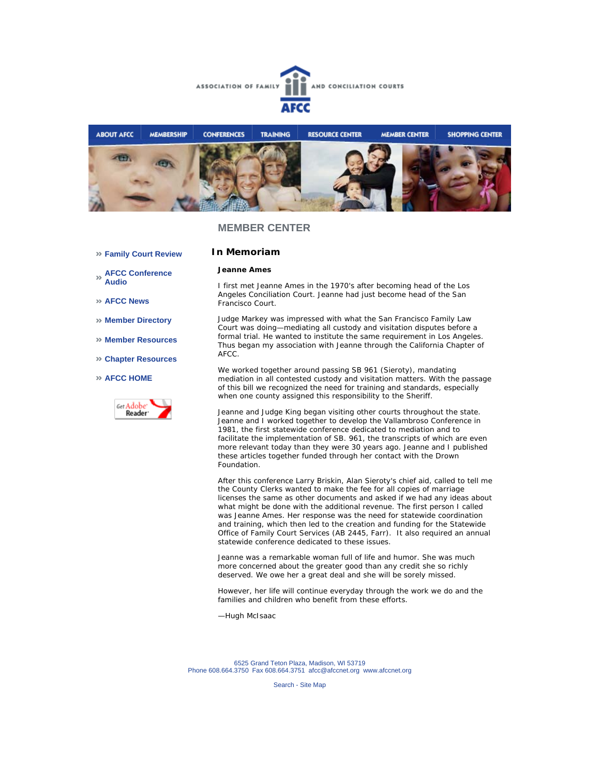



**Family Court Review** 

# **In Memoriam**

### **Jeanne Ames**

**AFCC Conference Audio** 

**AFCC News** 

- **Member Directory**
- **Member Resources**
- **Chapter Resources**

#### **AFCC HOME**



I first met Jeanne Ames in the 1970's after becoming head of the Los Angeles Conciliation Court. Jeanne had just become head of the San Francisco Court.

Judge Markey was impressed with what the San Francisco Family Law Court was doing—mediating all custody and visitation disputes before a formal trial. He wanted to institute the same requirement in Los Angeles. Thus began my association with Jeanne through the California Chapter of AFCC.

We worked together around passing SB 961 (Sieroty), mandating mediation in all contested custody and visitation matters. With the passage of this bill we recognized the need for training and standards, especially when one county assigned this responsibility to the Sheriff.

Jeanne and Judge King began visiting other courts throughout the state. Jeanne and I worked together to develop the Vallambroso Conference in 1981, the first statewide conference dedicated to mediation and to facilitate the implementation of SB. 961, the transcripts of which are even more relevant today than they were 30 years ago. Jeanne and I published these articles together funded through her contact with the Drown Foundation.

After this conference Larry Briskin, Alan Sieroty's chief aid, called to tell me the County Clerks wanted to make the fee for all copies of marriage licenses the same as other documents and asked if we had any ideas about what might be done with the additional revenue. The first person I called was Jeanne Ames. Her response was the need for statewide coordination and training, which then led to the creation and funding for the Statewide Office of Family Court Services (AB 2445, Farr). It also required an annual statewide conference dedicated to these issues.

Jeanne was a remarkable woman full of life and humor. She was much more concerned about the greater good than any credit she so richly deserved. We owe her a great deal and she will be sorely missed.

However, her life will continue everyday through the work we do and the families and children who benefit from these efforts.

—Hugh McIsaac

6525 Grand Teton Plaza, Madison, WI 53719 Phone 608.664.3750 Fax 608.664.3751 afcc@afccnet.org www.afccnet.org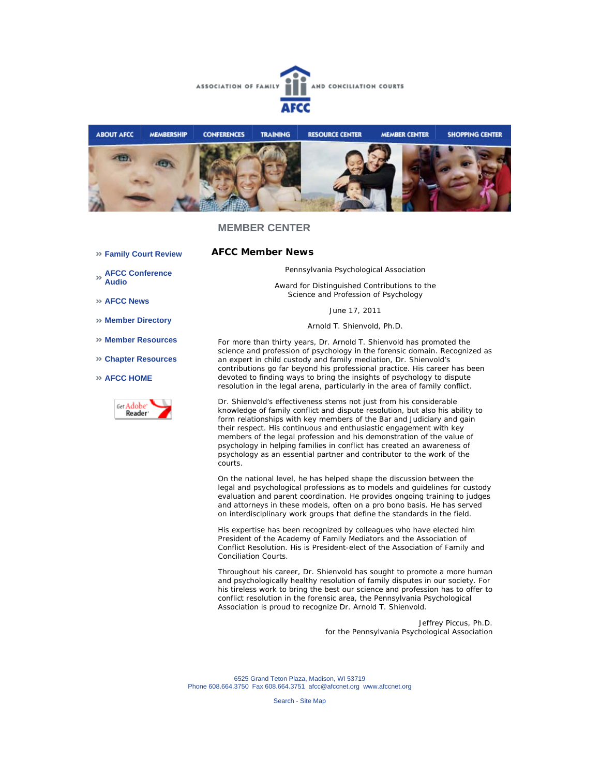



**AFCC Member News** 

**Family Court Review** 

Pennsylvania Psychological Association

*Award for Distinguished Contributions to the Science and Profession of Psychology*

June 17, 2011

Arnold T. Shienvold, Ph.D.

For more than thirty years, Dr. Arnold T. Shienvold has promoted the science and profession of psychology in the forensic domain. Recognized as an expert in child custody and family mediation, Dr. Shienvold's contributions go far beyond his professional practice. His career has been devoted to finding ways to bring the insights of psychology to dispute resolution in the legal arena, particularly in the area of family conflict.

Dr. Shienvold's effectiveness stems not just from his considerable knowledge of family conflict and dispute resolution, but also his ability to form relationships with key members of the Bar and Judiciary and gain their respect. His continuous and enthusiastic engagement with key members of the legal profession and his demonstration of the value of psychology in helping families in conflict has created an awareness of psychology as an essential partner and contributor to the work of the courts.

On the national level, he has helped shape the discussion between the legal and psychological professions as to models and guidelines for custody evaluation and parent coordination. He provides ongoing training to judges and attorneys in these models, often on a pro bono basis. He has served on interdisciplinary work groups that define the standards in the field.

His expertise has been recognized by colleagues who have elected him President of the Academy of Family Mediators and the Association of Conflict Resolution. His is President-elect of the Association of Family and Conciliation Courts.

Throughout his career, Dr. Shienvold has sought to promote a more human and psychologically healthy resolution of family disputes in our society. For his tireless work to bring the best our science and profession has to offer to conflict resolution in the forensic area, the Pennsylvania Psychological Association is proud to recognize Dr. Arnold T. Shienvold.

> Jeffrey Piccus, Ph.D. for the Pennsylvania Psychological Association

6525 Grand Teton Plaza, Madison, WI 53719 Phone 608.664.3750 Fax 608.664.3751 afcc@afccnet.org www.afccnet.org

Search - Site Map

**AFCC Conference**  Ж **Audio** 

**AFCC News** 

- **Member Directory**
- **Member Resources**
- **Chapter Resources**

### **AFCC HOME**

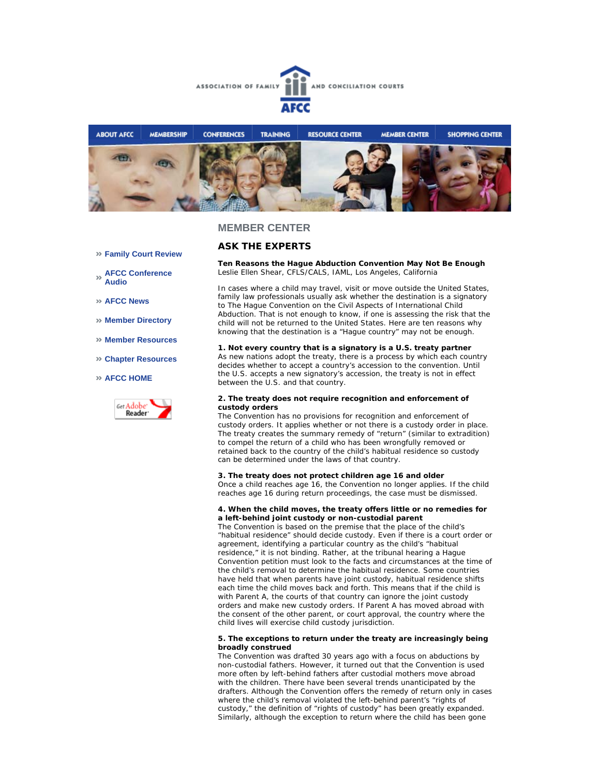



# **ASK THE EXPERTS**

**Ten Reasons the Hague Abduction Convention May Not Be Enough**  *Leslie Ellen Shear, CFLS/CALS, IAML, Los Angeles, California*

In cases where a child may travel, visit or move outside the United States, family law professionals usually ask whether the destination is a signatory to The Hague Convention on the Civil Aspects of International Child Abduction. That is not enough to know, if one is assessing the risk that the child will not be returned to the United States. Here are ten reasons why knowing that the destination is a "Hague country" may not be enough.

**1. Not every country that is a signatory is a U.S. treaty partner** As new nations adopt the treaty, there is a process by which each country decides whether to accept a country's accession to the convention. Until the U.S. accepts a new signatory's accession, the treaty is not in effect between the U.S. and that country.

#### **2. The treaty does not require recognition and enforcement of custody orders**

The Convention has no provisions for recognition and enforcement of custody orders. It applies whether or not there is a custody order in place. The treaty creates the summary remedy of "return" (similar to extradition) to compel the return of a child who has been wrongfully removed or retained back to the country of the child's habitual residence so custody can be determined under the laws of that country.

#### **3. The treaty does not protect children age 16 and older**

Once a child reaches age 16, the Convention no longer applies. If the child reaches age 16 during return proceedings, the case must be dismissed.

#### **4. When the child moves, the treaty offers little or no remedies for a left-behind joint custody or non-custodial parent**

The Convention is based on the premise that the place of the child's "habitual residence" should decide custody. Even if there is a court order or agreement, identifying a particular country as the child's "habitual residence," it is not binding. Rather, at the tribunal hearing a Hague Convention petition must look to the facts and circumstances at the time of the child's removal to determine the habitual residence. Some countries have held that when parents have joint custody, habitual residence shifts each time the child moves back and forth. This means that if the child is with Parent A, the courts of that country can ignore the joint custody orders and make new custody orders. If Parent A has moved abroad with the consent of the other parent, or court approval, the country where the child lives will exercise child custody jurisdiction.

#### **5. The exceptions to return under the treaty are increasingly being broadly construed**

The Convention was drafted 30 years ago with a focus on abductions by non-custodial fathers. However, it turned out that the Convention is used more often by left-behind fathers after custodial mothers move abroad with the children. There have been several trends unanticipated by the drafters. Although the Convention offers the remedy of return only in cases where the child's removal violated the left-behind parent's "rights of custody," the definition of "rights of custody" has been greatly expanded. Similarly, although the exception to return where the child has been gone

#### **Family Court Review**

**AFCC Conference Audio** 

- **AFCC News**
- **Member Directory**
- **Member Resources**
- **Chapter Resources**

#### **AFCC HOME**